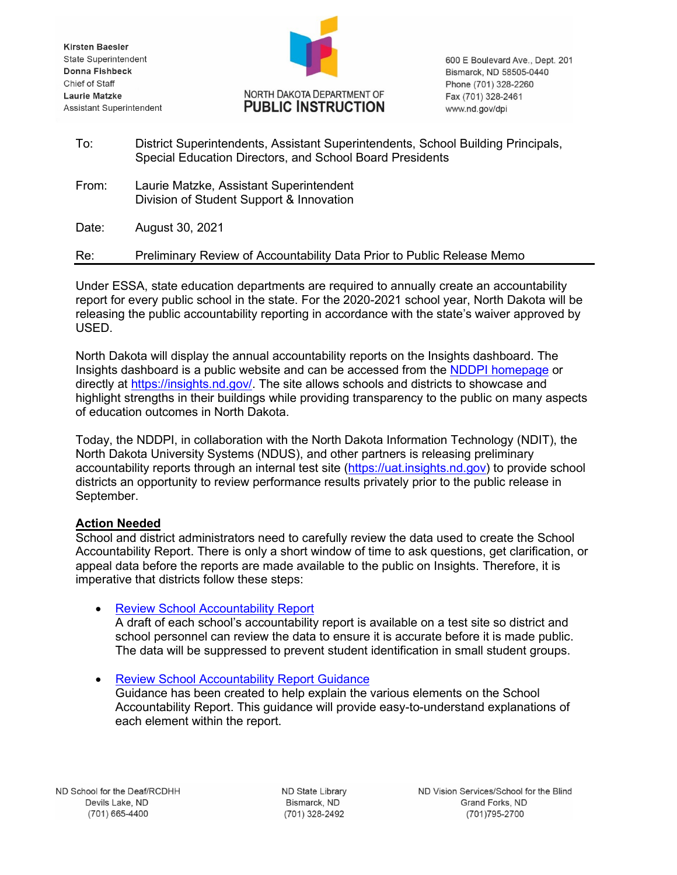Kirsten Baesler State Superintendent Donna Fishbeck Chief of Staff Laurie Matzke Assistant Superintendent



600 E Boulevard Ave., Dept. 201 Bismarck, ND 58505-0440 Phone (701) 328-2260 Fax (701) 328-2461 www.nd.gov/dpi

| To: | District Superintendents, Assistant Superintendents, School Building Principals, |
|-----|----------------------------------------------------------------------------------|
|     | Special Education Directors, and School Board Presidents                         |

From: Laurie Matzke, Assistant Superintendent Division of Student Support & Innovation

Date: August 30, 2021

Re: Preliminary Review of Accountability Data Prior to Public Release Memo

Under ESSA, state education departments are required to annually create an accountability report for every public school in the state. For the 2020-2021 school year, North Dakota will be releasing the public accountability reporting in accordance with the state's waiver approved by USED.

North Dakota will display the annual accountability reports on the Insights dashboard. The Insights dashboard is a public website and can be accessed from the [NDDPI homepage](https://www.nd.gov/dpi) or directly at [https://insights.nd.gov/.](https://insights.nd.gov/) The site allows schools and districts to showcase and highlight strengths in their buildings while providing transparency to the public on many aspects of education outcomes in North Dakota.

Today, the NDDPI, in collaboration with the North Dakota Information Technology (NDIT), the North Dakota University Systems (NDUS), and other partners is releasing preliminary accountability reports through an internal test site [\(https://uat.insights.nd.gov\)](https://uat.insights.nd.gov/) to provide school districts an opportunity to review performance results privately prior to the public release in September.

# **Action Needed**

School and district administrators need to carefully review the data used to create the School Accountability Report. There is only a short window of time to ask questions, get clarification, or appeal data before the reports are made available to the public on Insights. Therefore, it is imperative that districts follow these steps:

# • [Review School Accountability Report](https://uat.insights.nd.gov/)

A draft of each school's accountability report is available on a test site so district and school personnel can review the data to ensure it is accurate before it is made public. The data will be suppressed to prevent student identification in small student groups.

• [Review School Accountability Report Guidance](https://www.nd.gov/dpi/sites/www/files/documents/Division%20of%20SS%26I/ESSA/Accountability/SchoolAccountabilityReportGuidance.pdf) Guidance has been created to help explain the various elements on the School Accountability Report. This guidance will provide easy-to-understand explanations of each element within the report.

ND State Library Bismarck, ND (701) 328-2492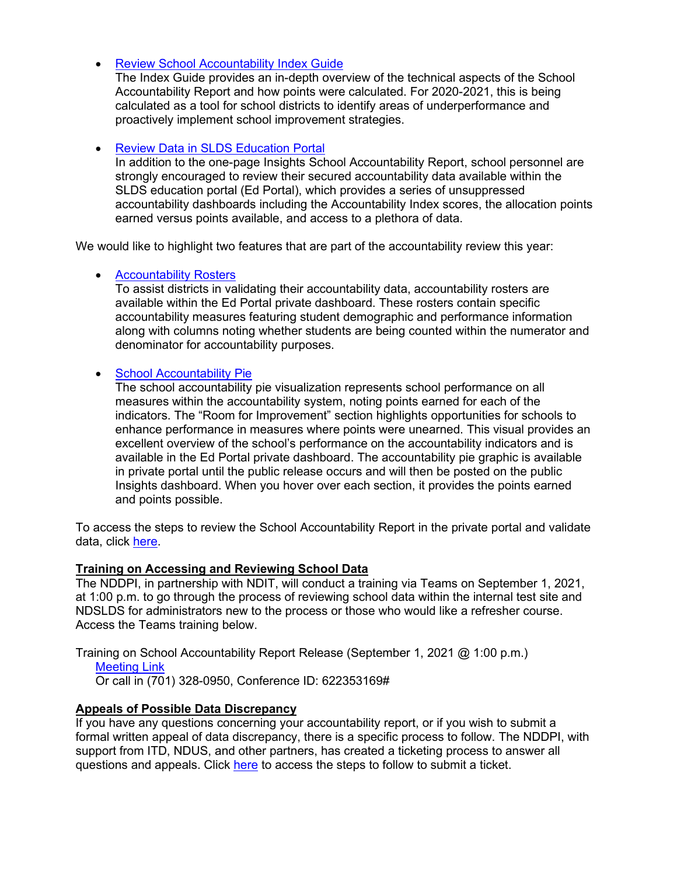• [Review School Accountability Index Guide](https://www.nd.gov/dpi/sites/www/files/documents/Division%20of%20SS%26I/ESSA/Accountability/AccountabilityIndexGuideFinal.pdf)

The Index Guide provides an in-depth overview of the technical aspects of the School Accountability Report and how points were calculated. For 2020-2021, this is being calculated as a tool for school districts to identify areas of underperformance and proactively implement school improvement strategies.

## • [Review Data in SLDS Education Portal](https://apps.nd.gov/sts/account/login?ReturnUrl=%2fsts%2fTrust%2f%3fwa%3dwsignin1.0%26wtrealm%3dhttp%253a%252f%252fsts.nd.gov%252fadfs%252fservices%252ftrust%26wctx%3d158d7e7a-8053-4e0d-8c38-fe80593f8c0d%26wct%3d2019-08-26T17%253a58%253a57Z%26whr%3durn%253andgov%253asts%253aprod&wa=wsignin1.0&wtrealm=http%3a%2f%2fsts.nd.gov%2fadfs%2fservices%2ftrust&wctx=158d7e7a-8053-4e0d-8c38-fe80593f8c0d&wct=2019-08-26T17%3a58%3a57Z&whr=urn%3andgov%3asts%3aprod)

In addition to the one-page Insights School Accountability Report, school personnel are strongly encouraged to review their secured accountability data available within the SLDS education portal (Ed Portal), which provides a series of unsuppressed accountability dashboards including the Accountability Index scores, the allocation points earned versus points available, and access to a plethora of data.

We would like to highlight two features that are part of the accountability review this year:

#### **[Accountability Rosters](https://apps.nd.gov/sts/account/login?ReturnUrl=%2fsts%2fTrust%2f%3fwa%3dwsignin1.0%26wtrealm%3dhttp%253a%252f%252fsts.nd.gov%252fadfs%252fservices%252ftrust%26wctx%3d158d7e7a-8053-4e0d-8c38-fe80593f8c0d%26wct%3d2019-08-26T17%253a58%253a57Z%26whr%3durn%253andgov%253asts%253aprod&wa=wsignin1.0&wtrealm=http%3a%2f%2fsts.nd.gov%2fadfs%2fservices%2ftrust&wctx=158d7e7a-8053-4e0d-8c38-fe80593f8c0d&wct=2019-08-26T17%3a58%3a57Z&whr=urn%3andgov%3asts%3aprod)**

To assist districts in validating their accountability data, accountability rosters are available within the Ed Portal private dashboard. These rosters contain specific accountability measures featuring student demographic and performance information along with columns noting whether students are being counted within the numerator and denominator for accountability purposes.

### • School [Accountability Pie](https://apps.nd.gov/sts/account/login?ReturnUrl=%2fsts%2fTrust%2f%3fwa%3dwsignin1.0%26wtrealm%3dhttp%253a%252f%252fsts.nd.gov%252fadfs%252fservices%252ftrust%26wctx%3d158d7e7a-8053-4e0d-8c38-fe80593f8c0d%26wct%3d2019-08-26T17%253a58%253a57Z%26whr%3durn%253andgov%253asts%253aprod&wa=wsignin1.0&wtrealm=http%3a%2f%2fsts.nd.gov%2fadfs%2fservices%2ftrust&wctx=158d7e7a-8053-4e0d-8c38-fe80593f8c0d&wct=2019-08-26T17%3a58%3a57Z&whr=urn%3andgov%3asts%3aprod)

The school accountability pie visualization represents school performance on all measures within the accountability system, noting points earned for each of the indicators. The "Room for Improvement" section highlights opportunities for schools to enhance performance in measures where points were unearned. This visual provides an excellent overview of the school's performance on the accountability indicators and is available in the Ed Portal private dashboard. The accountability pie graphic is available in private portal until the public release occurs and will then be posted on the public Insights dashboard. When you hover over each section, it provides the points earned and points possible.

To access the steps to review the School Accountability Report in the private portal and validate data, click [here.](https://www.nd.gov/dpi/sites/www/files/documents/Division%20of%20SS%26I/ESSA/Accountability/School%20Accountability%20Data%20Review%20and%20Validation%20Instructions.pdf)

### **Training on Accessing and Reviewing School Data**

The NDDPI, in partnership with NDIT, will conduct a training via Teams on September 1, 2021, at 1:00 p.m. to go through the process of reviewing school data within the internal test site and NDSLDS for administrators new to the process or those who would like a refresher course. Access the Teams training below.

Training on School Accountability Report Release (September 1, 2021 @ 1:00 p.m.)

[Meeting Link](https://teams.microsoft.com/l/meetup-join/19%3ameeting_MWNmNjgyMmUtNzhhMi00ZjcyLThhZjUtZTdhMWJiMjVkZjY2%40thread.v2/0?context=%7b%22Tid%22%3a%222dea0464-da51-4a88-bae2-b3db94bc0c54%22%2c%22Oid%22%3a%227ee8f3a5-b03a-4fb2-b599-1f7b97426894%22%7d)

Or call in (701) 328-0950, Conference ID: 622353169#

### **Appeals of Possible Data Discrepancy**

If you have any questions concerning your accountability report, or if you wish to submit a formal written appeal of data discrepancy, there is a specific process to follow. The NDDPI, with support from ITD, NDUS, and other partners, has created a ticketing process to answer all questions and appeals. Click [here](https://www.nd.gov/dpi/sites/www/files/documents/Division%20of%20SS%26I/ESSA/Accountability/StepsforSubmittingSchoolDataQuestions.pdf) to access the steps to follow to submit a ticket.